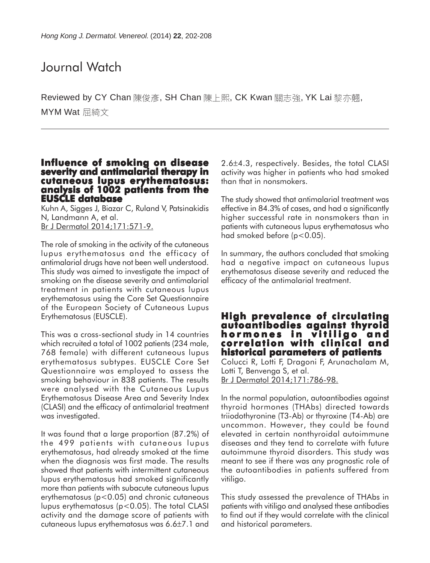### Journal Watch

Reviewed by CY Chan 陳俊彥, SH Chan 陳上熙, CK Kwan 關志強, YK Lai 黎亦翹, MYM Wat 屈綺文

### **Influence of smoking on disease severity and antimalarial therapy in cutaneous lupus erythematosus: analysis of 1002 patients from the EUSCLE database**

Kuhn A, Sigges J, Biazar C, Ruland V, Patsinakidis N, Landmann A, et al. Br J Dermatol 2014;171:571-9.

The role of smoking in the activity of the cutaneous lupus erythematosus and the efficacy of antimalarial drugs have not been well understood. This study was aimed to investigate the impact of smoking on the disease severity and antimalarial treatment in patients with cutaneous lupus erythematosus using the Core Set Questionnaire of the European Society of Cutaneous Lupus Erythematosus (EUSCLE).

This was a cross-sectional study in 14 countries which recruited a total of 1002 patients (234 male, 768 female) with different cutaneous lupus erythematosus subtypes. EUSCLE Core Set Questionnaire was employed to assess the smoking behaviour in 838 patients. The results were analysed with the Cutaneous Lupus Erythematosus Disease Area and Severity Index (CLASI) and the efficacy of antimalarial treatment was investigated.

It was found that a large proportion (87.2%) of the 499 patients with cutaneous lupus erythematosus, had already smoked at the time when the diagnosis was first made. The results showed that patients with intermittent cutaneous lupus erythematosus had smoked significantly more than patients with subacute cutaneous lupus erythematosus (p<0.05) and chronic cutaneous lupus erythematosus (p<0.05). The total CLASI activity and the damage score of patients with cutaneous lupus erythematosus was 6.6±7.1 and

2.6±4.3, respectively. Besides, the total CLASI activity was higher in patients who had smoked than that in nonsmokers.

The study showed that antimalarial treatment was effective in 84.3% of cases, and had a significantly higher successful rate in nonsmokers than in patients with cutaneous lupus erythematosus who had smoked before (p<0.05).

In summary, the authors concluded that smoking had a negative impact on cutaneous lupus erythematosus disease severity and reduced the efficacy of the antimalarial treatment.

### **High prevalence of circulating autoantibodies against thyroid hormones in vitiligo and correlation with clinical and historical parameters of patients**

Colucci R, Lotti F, Dragoni F, Arunachalam M, Lotti T, Benvenga S, et al. Br J Dermatol 2014;171:786-98.

In the normal population, autoantibodies against thyroid hormones (THAbs) directed towards triiodothyronine (T3-Ab) or thyroxine (T4-Ab) are uncommon. However, they could be found elevated in certain nonthyroidal autoimmune diseases and they tend to correlate with future autoimmune thyroid disorders. This study was meant to see if there was any prognostic role of the autoantibodies in patients suffered from vitiligo.

This study assessed the prevalence of THAbs in patients with vitiligo and analysed these antibodies to find out if they would correlate with the clinical and historical parameters.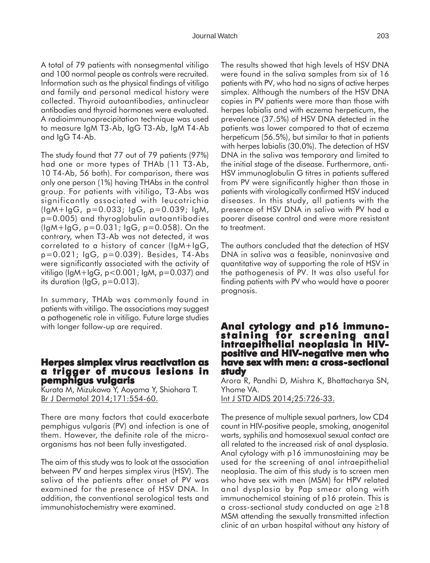A total of 79 patients with nonsegmental vitiligo and 100 normal people as controls were recruited. Information such as the physical findings of vitiligo and family and personal medical history were collected. Thyroid autoantibodies, antinuclear antibodies and thyroid hormones were evaluated. A radioimmunoprecipitation technique was used to measure IgM T3-Ab, IgG T3-Ab, IgM T4-Ab and IgG T4-Ab.

The study found that 77 out of 79 patients (97%) had one or more types of THAb (11 T3-Ab, 10 T4-Ab, 56 both). For comparison, there was only one person (1%) having THAbs in the control group. For patients with vitiligo, T3-Abs was significantly associated with leucotrichia (IgM+IgG, p=0.033; IgG, p=0.039; IgM, p=0.005) and thyroglobulin autoantibodies  $(lgM+lgG, p=0.031; lgG, p=0.058)$ . On the contrary, when T3-Ab was not detected, it was correlated to a history of cancer (IgM+IgG, p=0.021; IgG, p=0.039). Besides, T4-Abs were significantly associated with the activity of vitiligo (IgM+IgG, p<0.001; IgM, p=0.037) and its duration (IgG, p=0.013).

In summary, THAb was commonly found in patients with vitiligo. The associations may suggest a pathogenetic role in vitiligo. Future large studies with longer follow-up are required.

### **Herpes simplex virus reactivation as a trigger of mucous lesions in pemphigus vulgaris**

Kurata M, Mizukawa Y, Aoyama Y, Shiohara T. Br J Dermatol 2014;171:554-60.

There are many factors that could exacerbate pemphigus vulgaris (PV) and infection is one of them. However, the definite role of the microorganisms has not been fully investigated.

The aim of this study was to look at the association between PV and herpes simplex virus (HSV). The saliva of the patients after onset of PV was examined for the presence of HSV DNA. In addition, the conventional serological tests and immunohistochemistry were examined.

The results showed that high levels of HSV DNA were found in the saliva samples from six of 16 patients with PV, who had no signs of active herpes simplex. Although the numbers of the HSV DNA copies in PV patients were more than those with herpes labialis and with eczema herpeticum, the prevalence (37.5%) of HSV DNA detected in the patients was lower compared to that of eczema herpeticum (56.5%), but similar to that in patients with herpes labialis (30.0%). The detection of HSV DNA in the saliva was temporary and limited to the initial stage of the disease. Furthermore, anti-HSV immunoglobulin G titres in patients suffered from PV were significantly higher than those in patients with virologically confirmed HSV induced diseases. In this study, all patients with the presence of HSV DNA in saliva with PV had a poorer disease control and were more resistant to treatment.

The authors concluded that the detection of HSV DNA in saliva was a feasible, noninvasive and quantitative way of supporting the role of HSV in the pathogenesis of PV. It was also useful for finding patients with PV who would have a poorer prognosis.

## **Anal cytology and p16 immuno- staining for screening anal staining for screening anal intraepithelial neoplasia in HIV- positive and HIV-negative men who have sex with men: a cross-sectional sectional study**

Arora R, Pandhi D, Mishra K, Bhattacharya SN, Yhome VA. Int J STD AIDS 2014;25:726-33.

The presence of multiple sexual partners, low CD4 count in HIV-positive people, smoking, anogenital warts, syphilis and homosexual sexual contact are all related to the increased risk of anal dysplasia. Anal cytology with p16 immunostaining may be used for the screening of anal intraepithelial neoplasia. The aim of this study is to screen men who have sex with men (MSM) for HPV related anal dysplasia by Pap smear along with immunochemical staining of p16 protein. This is a cross-sectional study conducted on age ≥18 MSM attending the sexually transmitted infection clinic of an urban hospital without any history of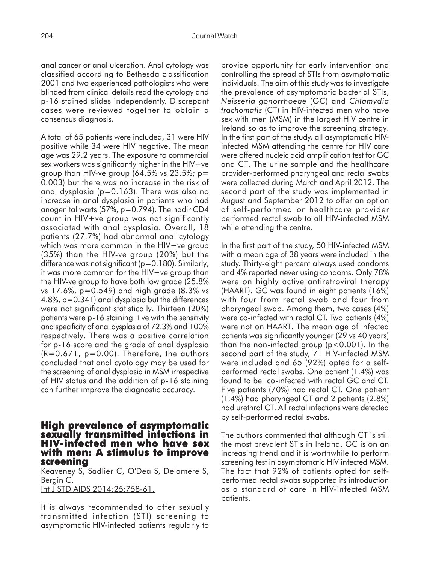anal cancer or anal ulceration. Anal cytology was classified according to Bethesda classification 2001 and two experienced pathologists who were blinded from clinical details read the cytology and p-16 stained slides independently. Discrepant cases were reviewed together to obtain a consensus diagnosis.

A total of 65 patients were included, 31 were HIV positive while 34 were HIV negative. The mean age was 29.2 years. The exposure to commercial sex workers was significantly higher in the  $H_V +ve$ group than HIV-ve group  $(64.5\% \text{ vs } 23.5\%; \text{ p}$ = 0.003) but there was no increase in the risk of anal dysplasia (p=0.163). There was also no increase in anal dysplasia in patients who had anogenital warts (57%, p=0.794). The nadir CD4 count in HIV+ve group was not significantly associated with anal dysplasia. Overall, 18 patients (27.7%) had abnormal anal cytology which was more common in the HIV+ve group (35%) than the HIV-ve group (20%) but the difference was not significant (p=0.180). Similarly, it was more common for the HIV+ve group than the HIV-ve group to have both low grade (25.8% vs 17.6%, p=0.549) and high grade (8.3% vs 4.8%, p=0.341) anal dysplasia but the differences were not significant statistically. Thirteen (20%) patients were  $p-16$  staining  $+ve$  with the sensitivity and specificity of anal dysplasia of 72.3% and 100% respectively. There was a positive correlation for p-16 score and the grade of anal dysplasia  $(R=0.671, p=0.00)$ . Therefore, the authors concluded that anal cyotology may be used for the screening of anal dysplasia in MSM irrespective of HIV status and the addition of p-16 staining can further improve the diagnostic accuracy.

### **High prevalence of asymptomatic sexually transmitted infections in HIV-infected men who have sex with men: A stimulus to improve screening**

Keaveney S, Sadlier C, O'Dea S, Delamere S, Bergin C.

Int J STD AIDS 2014;25:758-61.

It is always recommended to offer sexually transmitted infection (STI) screening to asymptomatic HIV-infected patients regularly to

provide opportunity for early intervention and controlling the spread of STIs from asymptomatic individuals. The aim of this study was to investigate the prevalence of asymptomatic bacterial STIs, *Neisseria gonorrhoeae* (GC) and *Chlamydia trachomatis* (CT) in HIV-infected men who have sex with men (MSM) in the largest HIV centre in Ireland so as to improve the screening strategy. In the first part of the study, all asymptomatic HIVinfected MSM attending the centre for HIV care were offered nucleic acid amplification test for GC and CT. The urine sample and the healthcare provider-performed pharyngeal and rectal swabs were collected during March and April 2012. The second part of the study was implemented in August and September 2012 to offer an option of self-performed or healthcare provider performed rectal swab to all HIV-infected MSM while attending the centre.

In the first part of the study, 50 HIV-infected MSM with a mean age of 38 years were included in the study. Thirty-eight percent always used condoms and 4% reported never using condoms. Only 78% were on highly active antiretroviral therapy (HAART). GC was found in eight patients (16%) with four from rectal swab and four from pharyngeal swab. Among them, two cases (4%) were co-infected with rectal CT. Two patients (4%) were not on HAART. The mean age of infected patients was significantly younger (29 vs 40 years) than the non-infected group (p<0.001). In the second part of the study, 71 HIV-infected MSM were included and 65 (92%) opted for a selfperformed rectal swabs. One patient (1.4%) was found to be co-infected with rectal GC and CT. Five patients (70%) had rectal CT. One patient (1.4%) had pharyngeal CT and 2 patients (2.8%) had urethral CT. All rectal infections were detected by self-performed rectal swabs.

The authors commented that although CT is still the most prevalent STIs in Ireland, GC is on an increasing trend and it is worthwhile to perform screening test in asymptomatic HIV infected MSM. The fact that 92% of patients opted for selfperformed rectal swabs supported its introduction as a standard of care in HIV-infected MSM patients.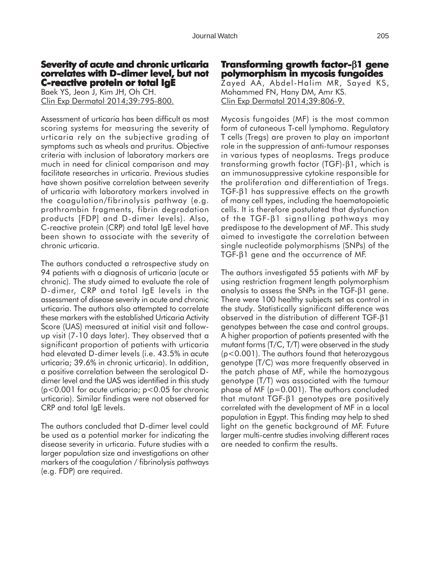### **Severity of acute and chronic urticaria correlates with D-dimer level, but not C-reactive protein or total IgE**

Baek YS, Jeon J, Kim JH, Oh CH. Clin Exp Dermatol 2014;39:795-800.

Assessment of urticaria has been difficult as most scoring systems for measuring the severity of urticaria rely on the subjective grading of symptoms such as wheals and pruritus. Objective criteria with inclusion of laboratory markers are much in need for clinical comparison and may facilitate researches in urticaria. Previous studies have shown positive correlation between severity of urticaria with laboratory markers involved in the coagulation/fibrinolysis pathway (e.g. prothrombin fragments, fibrin degradation products [FDP] and D-dimer levels). Also, C-reactive protein (CRP) and total IgE level have been shown to associate with the severity of chronic urticaria.

The authors conducted a retrospective study on 94 patients with a diagnosis of urticaria (acute or chronic). The study aimed to evaluate the role of D-dimer, CRP and total IgE levels in the assessment of disease severity in acute and chronic urticaria. The authors also attempted to correlate these markers with the established Urticaria Activity Score (UAS) measured at initial visit and followup visit (7-10 days later). They observed that a significant proportion of patients with urticaria had elevated D-dimer levels (i.e. 43.5% in acute urticaria; 39.6% in chronic urticaria). In addition, a positive correlation between the serological Ddimer level and the UAS was identified in this study  $(p<0.001$  for acute urticaria;  $p<0.05$  for chronic urticaria). Similar findings were not observed for CRP and total IgE levels.

The authors concluded that D-dimer level could be used as a potential marker for indicating the disease severity in urticaria. Future studies with a larger population size and investigations on other markers of the coagulation / fibrinolysis pathways (e.g. FDP) are required.

# **Transforming growth factor-**β**1 gene polymorphism in mycosis fungoides**

Zayed AA, Abdel-Halim MR, Sayed KS, Mohammed FN, Hany DM, Amr KS. Clin Exp Dermatol 2014;39:806-9.

Mycosis fungoides (MF) is the most common form of cutaneous T-cell lymphoma. Regulatory T cells (Tregs) are proven to play an important role in the suppression of anti-tumour responses in various types of neoplasms. Tregs produce transforming growth factor (TGF)-β1, which is an immunosuppressive cytokine responsible for the proliferation and differentiation of Tregs. TGF-β1 has suppressive effects on the growth of many cell types, including the haematopoietic cells. It is therefore postulated that dysfunction of the TGF-β1 signalling pathways may predispose to the development of MF. This study aimed to investigate the correlation between single nucleotide polymorphisms (SNPs) of the TGF-β1 gene and the occurrence of MF.

The authors investigated 55 patients with MF by using restriction fragment length polymorphism analysis to assess the SNPs in the TGF-β1 gene. There were 100 healthy subjects set as control in the study. Statistically significant difference was observed in the distribution of different TGF-β1 genotypes between the case and control groups. A higher proportion of patients presented with the mutant forms (T/C, T/T) were observed in the study (p<0.001). The authors found that heterozygous genotype (T/C) was more frequently observed in the patch phase of MF, while the homozygous genotype (T/T) was associated with the tumour phase of MF (p=0.001). The authors concluded that mutant TGF-β1 genotypes are positively correlated with the development of MF in a local population in Egypt. This finding may help to shed light on the genetic background of MF. Future larger multi-centre studies involving different races are needed to confirm the results.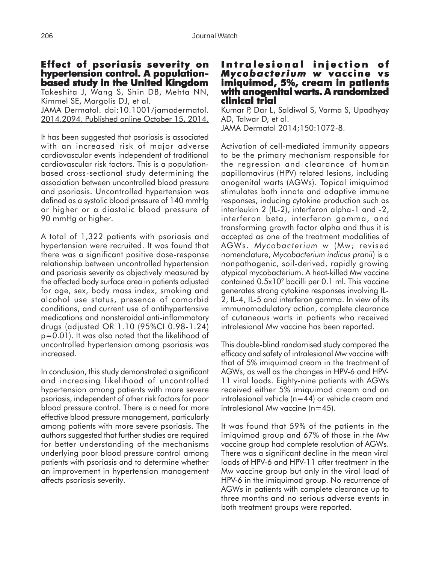### **Effect of psoriasis severity on hypertension control. A populationbased study in the United Kingdom**

Takeshita J, Wang S, Shin DB, Mehta NN, Kimmel SE, Margolis DJ, et al. JAMA Dermatol. doi:10.1001/jamadermatol.

2014.2094. Published online October 15, 2014.

It has been suggested that psoriasis is associated with an increased risk of major adverse cardiovascular events independent of traditional cardiovascular risk factors. This is a populationbased cross-sectional study determining the association between uncontrolled blood pressure and psoriasis. Uncontrolled hypertension was defined as a systolic blood pressure of 140 mmHg or higher or a diastolic blood pressure of 90 mmHg or higher.

A total of 1,322 patients with psoriasis and hypertension were recruited. It was found that there was a significant positive dose-response relationship between uncontrolled hypertension and psoriasis severity as objectively measured by the affected body surface area in patients adjusted for age, sex, body mass index, smoking and alcohol use status, presence of comorbid conditions, and current use of antihypertensive medications and nonsteroidal anti-inflammatory drugs (adjusted OR 1.10 (95%CI 0.98-1.24) p=0.01). It was also noted that the likelihood of uncontrolled hypertension among psoriasis was increased.

In conclusion, this study demonstrated a significant and increasing likelihood of uncontrolled hypertension among patients with more severe psoriasis, independent of other risk factors for poor blood pressure control. There is a need for more effective blood pressure management, particularly among patients with more severe psoriasis. The authors suggested that further studies are required for better understanding of the mechanisms underlying poor blood pressure control among patients with psoriasis and to determine whether an improvement in hypertension management affects psoriasis severity.

### **Intralesional injection of Intralesional of** *Mycobacterium w Mycobacterium w* **vaccine vs imiquimod, 5%, cream in patients with anogenital warts. A randomized clinical trial clinical trial**

Kumar P, Dar L, Saldiwal S, Varma S, Upadhyay AD, Talwar D, et al. JAMA Dermatol 2014;150:1072-8.

Activation of cell-mediated immunity appears to be the primary mechanism responsible for the regression and clearance of human papillomavirus (HPV) related lesions, including anogenital warts (AGWs). Topical imiquimod stimulates both innate and adaptive immune responses, inducing cytokine production such as interleukin 2 (IL-2), interferon alpha-1 and -2, interferon beta, interferon gamma, and transforming growth factor alpha and thus it is accepted as one of the treatment modalities of AGWs. *Mycobacterium w* (Mw; revised nomenclature, *Mycobacterium indicus pranii*) is a nonpathogenic, soil-derived, rapidly growing atypical mycobacterium. A heat-killed Mw vaccine contained  $0.5x10<sup>9</sup>$  bacilli per 0.1 ml. This vaccine generates strong cytokine responses involving IL-2, IL-4, IL-5 and interferon gamma. In view of its immunomodulatory action, complete clearance of cutaneous warts in patients who received intralesional Mw vaccine has been reported.

This double-blind randomised study compared the efficacy and safety of intralesional Mw vaccine with that of 5% imiquimod cream in the treatment of AGWs, as well as the changes in HPV-6 and HPV-11 viral loads. Eighty-nine patients with AGWs received either 5% imiquimod cream and an intralesional vehicle (n=44) or vehicle cream and intralesional Mw vaccine (n=45).

It was found that 59% of the patients in the imiquimod group and 67% of those in the Mw vaccine group had complete resolution of AGWs. There was a significant decline in the mean viral loads of HPV-6 and HPV-11 after treatment in the Mw vaccine group but only in the viral load of HPV-6 in the imiquimod group. No recurrence of AGWs in patients with complete clearance up to three months and no serious adverse events in both treatment groups were reported.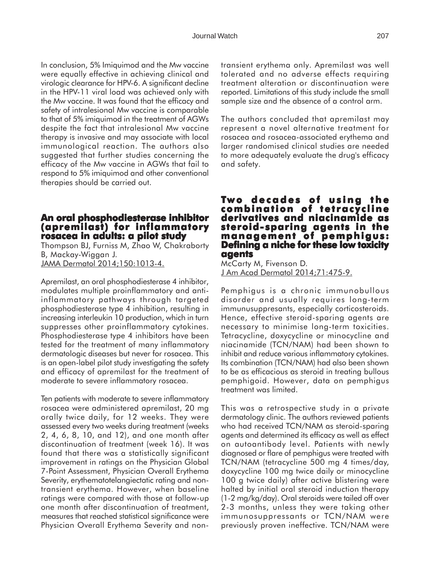In conclusion, 5% Imiquimod and the Mw vaccine were equally effective in achieving clinical and virologic clearance for HPV-6. A significant decline in the HPV-11 viral load was achieved only with the Mw vaccine. It was found that the efficacy and safety of intralesional Mw vaccine is comparable to that of 5% imiquimod in the treatment of AGWs despite the fact that intralesional Mw vaccine therapy is invasive and may associate with local immunological reaction. The authors also suggested that further studies concerning the efficacy of the Mw vaccine in AGWs that fail to respond to 5% imiquimod and other conventional therapies should be carried out.

### **An oral phosphodiesterase inhibitor (apremilast) for inflammatory rosacea in adults: a pilot study**

Thompson BJ, Furniss M, Zhao W, Chakraborty B, Mackay-Wiggan J. JAMA Dermatol 2014;150:1013-4.

Apremilast, an oral phosphodiesterase 4 inhibitor, modulates multiple proinflammatory and antiinflammatory pathways through targeted phosphodiesterase type 4 inhibition, resulting in increasing interleukin 10 production, which in turn suppresses other proinflammatory cytokines. Phosphodiesterase type 4 inhibitors have been tested for the treatment of many inflammatory dermatologic diseases but never for rosacea. This is an open-label pilot study investigating the safety and efficacy of apremilast for the treatment of moderate to severe inflammatory rosacea.

Ten patients with moderate to severe inflammatory rosacea were administered apremilast, 20 mg orally twice daily, for 12 weeks. They were assessed every two weeks during treatment (weeks 2, 4, 6, 8, 10, and 12), and one month after discontinuation of treatment (week 16). It was found that there was a statistically significant improvement in ratings on the Physician Global 7-Point Assessment, Physician Overall Erythema Severity, erythematotelangiectatic rating and nontransient erythema. However, when baseline ratings were compared with those at follow-up one month after discontinuation of treatment, measures that reached statistical significance were Physician Overall Erythema Severity and nontransient erythema only. Apremilast was well tolerated and no adverse effects requiring treatment alteration or discontinuation were reported. Limitations of this study include the small sample size and the absence of a control arm.

The authors concluded that apremilast may represent a novel alternative treatment for rosacea and rosacea-associated erythema and larger randomised clinical studies are needed to more adequately evaluate the drug's efficacy and safety.

### **Two decades of using the combination of tetracycline derivatives and niacinamide as steroid- sparing agents in the management of pemphigus: of pemphigus: Defining a niche for these low toxicity agents**

McCarty M, Fivenson D. J Am Acad Dermatol 2014;71:475-9.

Pemphigus is a chronic immunobullous disorder and usually requires long-term immunusuppresants, especially corticosteroids. Hence, effective steroid-sparing agents are necessary to minimise long-term toxicities. Tetracycline, doxycycline or minocycline and niacinamide (TCN/NAM) had been shown to inhibit and reduce various inflammatory cytokines. Its combination (TCN/NAM) had also been shown to be as efficacious as steroid in treating bullous pemphigoid. However, data on pemphigus treatment was limited.

This was a retrospective study in a private dermatology clinic. The authors reviewed patients who had received TCN/NAM as steroid-sparing agents and determined its efficacy as well as effect on autoantibody level. Patients with newly diagnosed or flare of pemphigus were treated with TCN/NAM (tetracycline 500 mg 4 times/day, doxycycline 100 mg twice daily or minocycline 100 g twice daily) after active blistering were halted by initial oral steroid induction therapy (1-2 mg/kg/day). Oral steroids were tailed off over 2-3 months, unless they were taking other immunosuppressants or TCN/NAM were previously proven ineffective. TCN/NAM were